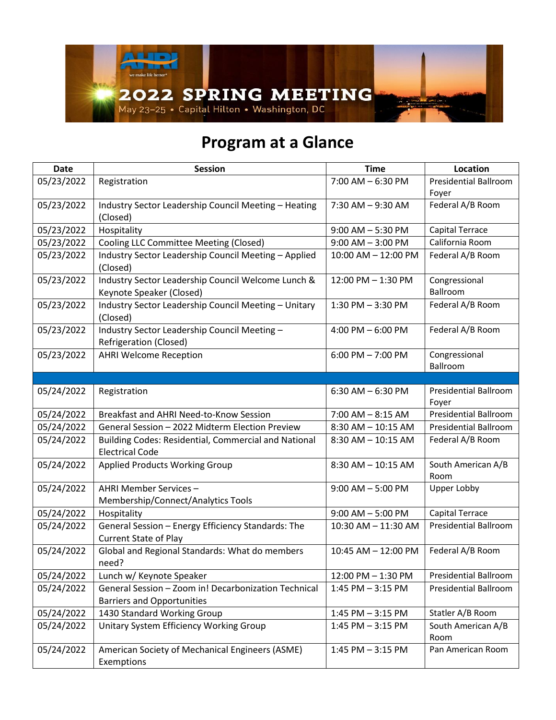

## **Program at a Glance**

| <b>Date</b> | <b>Session</b>                                                                            | <b>Time</b>             | Location                              |
|-------------|-------------------------------------------------------------------------------------------|-------------------------|---------------------------------------|
| 05/23/2022  | Registration                                                                              | $7:00$ AM $-6:30$ PM    | <b>Presidential Ballroom</b><br>Foyer |
| 05/23/2022  | Industry Sector Leadership Council Meeting - Heating<br>(Closed)                          | 7:30 AM - 9:30 AM       | Federal A/B Room                      |
| 05/23/2022  | Hospitality                                                                               | $9:00$ AM $-5:30$ PM    | Capital Terrace                       |
| 05/23/2022  | Cooling LLC Committee Meeting (Closed)                                                    | $9:00$ AM $-3:00$ PM    | California Room                       |
| 05/23/2022  | Industry Sector Leadership Council Meeting - Applied<br>(Closed)                          | $10:00$ AM $- 12:00$ PM | Federal A/B Room                      |
| 05/23/2022  | Industry Sector Leadership Council Welcome Lunch &<br>Keynote Speaker (Closed)            | 12:00 PM - 1:30 PM      | Congressional<br>Ballroom             |
| 05/23/2022  | Industry Sector Leadership Council Meeting - Unitary<br>(Closed)                          | 1:30 PM - 3:30 PM       | Federal A/B Room                      |
| 05/23/2022  | Industry Sector Leadership Council Meeting -<br>Refrigeration (Closed)                    | 4:00 PM $-6:00$ PM      | Federal A/B Room                      |
| 05/23/2022  | <b>AHRI Welcome Reception</b>                                                             | $6:00$ PM $-7:00$ PM    | Congressional<br>Ballroom             |
|             |                                                                                           |                         |                                       |
| 05/24/2022  | Registration                                                                              | $6:30$ AM $-6:30$ PM    | <b>Presidential Ballroom</b><br>Foyer |
| 05/24/2022  | Breakfast and AHRI Need-to-Know Session                                                   | $7:00$ AM $- 8:15$ AM   | <b>Presidential Ballroom</b>          |
| 05/24/2022  | General Session - 2022 Midterm Election Preview                                           | 8:30 AM - 10:15 AM      | <b>Presidential Ballroom</b>          |
| 05/24/2022  | Building Codes: Residential, Commercial and National<br><b>Electrical Code</b>            | $8:30$ AM $- 10:15$ AM  | Federal A/B Room                      |
| 05/24/2022  | <b>Applied Products Working Group</b>                                                     | 8:30 AM - 10:15 AM      | South American A/B<br>Room            |
| 05/24/2022  | AHRI Member Services -<br>Membership/Connect/Analytics Tools                              | $9:00$ AM $-5:00$ PM    | Upper Lobby                           |
| 05/24/2022  | Hospitality                                                                               | $9:00$ AM $-5:00$ PM    | Capital Terrace                       |
| 05/24/2022  | General Session - Energy Efficiency Standards: The<br><b>Current State of Play</b>        | 10:30 AM - 11:30 AM     | <b>Presidential Ballroom</b>          |
| 05/24/2022  | Global and Regional Standards: What do members<br>need?                                   | 10:45 AM - 12:00 PM     | Federal A/B Room                      |
| 05/24/2022  | Lunch w/ Keynote Speaker                                                                  | 12:00 PM - 1:30 PM      | <b>Presidential Ballroom</b>          |
| 05/24/2022  | General Session - Zoom in! Decarbonization Technical<br><b>Barriers and Opportunities</b> | $1:45$ PM $-3:15$ PM    | <b>Presidential Ballroom</b>          |
| 05/24/2022  | 1430 Standard Working Group                                                               | 1:45 PM - 3:15 PM       | Statler A/B Room                      |
| 05/24/2022  | Unitary System Efficiency Working Group                                                   | $1:45$ PM $-3:15$ PM    | South American A/B<br>Room            |
| 05/24/2022  | American Society of Mechanical Engineers (ASME)<br>Exemptions                             | 1:45 PM - 3:15 PM       | Pan American Room                     |